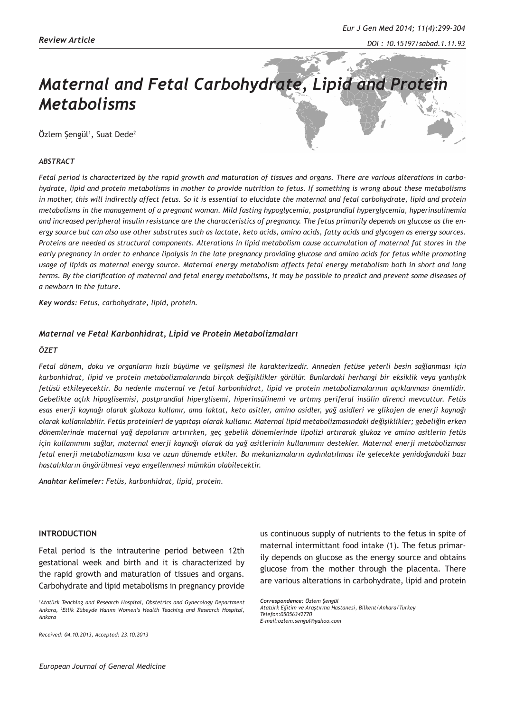# *Maternal and Fetal Carbohydrate, Lipid and Protein Metabolisms*

Özlem Şengül<sup>1</sup>, Suat Dede<sup>2</sup>

## *ABSTRACT*

*Fetal period is characterized by the rapid growth and maturation of tissues and organs. There are various alterations in carbohydrate, lipid and protein metabolisms in mother to provide nutrition to fetus. If something is wrong about these metabolisms*  in mother, this will indirectly affect fetus. So it is essential to elucidate the maternal and fetal carbohydrate, lipid and protein *metabolisms in the management of a pregnant woman. Mild fasting hypoglycemia, postprandial hyperglycemia, hyperinsulinemia and increased peripheral insulin resistance are the characteristics of pregnancy. The fetus primarily depends on glucose as the energy source but can also use other substrates such as lactate, keto acids, amino acids, fatty acids and glycogen as energy sources. Proteins are needed as structural components. Alterations in lipid metabolism cause accumulation of maternal fat stores in the early pregnancy in order to enhance lipolysis in the late pregnancy providing glucose and amino acids for fetus while promoting usage of lipids as maternal energy source. Maternal energy metabolism affects fetal energy metabolism both in short and long terms. By the clarification of maternal and fetal energy metabolisms, it may be possible to predict and prevent some diseases of a newborn in the future.*

*Key words: Fetus, carbohydrate, lipid, protein.*

## *Maternal ve Fetal Karbonhidrat, Lipid ve Protein Metabolizmaları*

## *ÖZET*

*Fetal dönem, doku ve organların hızlı büyüme ve gelişmesi ile karakterizedir. Anneden fetüse yeterli besin sağlanması için karbonhidrat, lipid ve protein metabolizmalarında birçok değişiklikler görülür. Bunlardaki herhangi bir eksiklik veya yanlışlık fetüsü etkileyecektir. Bu nedenle maternal ve fetal karbonhidrat, lipid ve protein metabolizmalarının açıklanması önemlidir. Gebelikte açlık hipoglisemisi, postprandial hiperglisemi, hiperinsülinemi ve artmış periferal insülin direnci mevcuttur. Fetüs esas enerji kaynağı olarak glukozu kullanır, ama laktat, keto asitler, amino asidler, yağ asidleri ve glikojen de enerji kaynağı olarak kullanılabilir. Fetüs proteinleri de yapıtaşı olarak kullanır. Maternal lipid metabolizmasındaki değişiklikler; gebeliğin erken dönemlerinde maternal yağ depolarını artırırken, geç gebelik dönemlerinde lipolizi artırarak glukoz ve amino asitlerin fetüs için kullanımını sağlar, maternal enerji kaynağı olarak da yağ asitlerinin kullanımını destekler. Maternal enerji metabolizması fetal enerji metabolizmasını kısa ve uzun dönemde etkiler. Bu mekanizmaların aydınlatılması ile gelecekte yenidoğandaki bazı hastalıkların öngörülmesi veya engellenmesi mümkün olabilecektir.*

*Anahtar kelimeler: Fetüs, karbonhidrat, lipid, protein.* 

## **INTRODUCTION**

Fetal period is the intrauterine period between 12th gestational week and birth and it is characterized by the rapid growth and maturation of tissues and organs. Carbohydrate and lipid metabolisms in pregnancy provide

*Received: 04.10.2013, Accepted: 23.10.2013*

us continuous supply of nutrients to the fetus in spite of maternal intermittant food intake (1). The fetus primarily depends on glucose as the energy source and obtains glucose from the mother through the placenta. There are various alterations in carbohydrate, lipid and protein

<sup>&</sup>lt;sup>1</sup> Atatürk Teaching and Research Hospital, Obstetrics and Gynecology Department *Ankara, 2 Etlik Zübeyde Hanım Women's Health Teaching and Research Hospital, Ankara*

*Correspondence: Özlem Şengül Atatürk Eğitim ve Araştırma Hastanesi, Bilkent/Ankara/Turkey Telefon:05056342770 E-mail:ozlem.sengul@yahoo.com*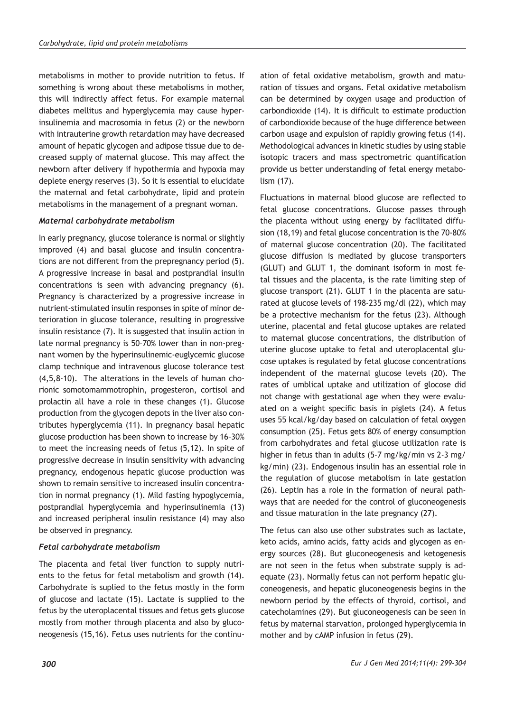metabolisms in mother to provide nutrition to fetus. If something is wrong about these metabolisms in mother, this will indirectly affect fetus. For example maternal diabetes mellitus and hyperglycemia may cause hyperinsulinemia and macrosomia in fetus (2) or the newborn with intrauterine growth retardation may have decreased amount of hepatic glycogen and adipose tissue due to decreased supply of maternal glucose. This may affect the newborn after delivery if hypothermia and hypoxia may deplete energy reserves (3). So it is essential to elucidate the maternal and fetal carbohydrate, lipid and protein metabolisms in the management of a pregnant woman.

# *Maternal carbohydrate metabolism*

In early pregnancy, glucose tolerance is normal or slightly improved (4) and basal glucose and insulin concentrations are not different from the prepregnancy period (5). A progressive increase in basal and postprandial insulin concentrations is seen with advancing pregnancy (6). Pregnancy is characterized by a progressive increase in nutrient-stimulated insulin responses in spite of minor deterioration in glucose tolerance, resulting in progressive insulin resistance (7). It is suggested that insulin action in late normal pregnancy is 50–70% lower than in non-pregnant women by the hyperinsulinemic-euglycemic glucose clamp technique and intravenous glucose tolerance test (4,5,8-10). The alterations in the levels of human chorionic somotomammotrophin, progesteron, cortisol and prolactin all have a role in these changes (1). Glucose production from the glycogen depots in the liver also contributes hyperglycemia (11). In pregnancy basal hepatic glucose production has been shown to increase by 16–30% to meet the increasing needs of fetus (5,12). In spite of progressive decrease in insulin sensitivity with advancing pregnancy, endogenous hepatic glucose production was shown to remain sensitive to increased insulin concentration in normal pregnancy (1). Mild fasting hypoglycemia, postprandial hyperglycemia and hyperinsulinemia (13) and increased peripheral insulin resistance (4) may also be observed in pregnancy.

# *Fetal carbohydrate metabolism*

The placenta and fetal liver function to supply nutrients to the fetus for fetal metabolism and growth (14). Carbohydrate is suplied to the fetus mostly in the form of glucose and lactate (15). Lactate is supplied to the fetus by the uteroplacental tissues and fetus gets glucose mostly from mother through placenta and also by gluconeogenesis (15,16). Fetus uses nutrients for the continuation of fetal oxidative metabolism, growth and maturation of tissues and organs. Fetal oxidative metabolism can be determined by oxygen usage and production of carbondioxide (14). It is difficult to estimate production of carbondioxide because of the huge difference between carbon usage and expulsion of rapidly growing fetus (14). Methodological advances in kinetic studies by using stable isotopic tracers and mass spectrometric quantification provide us better understanding of fetal energy metabolism (17).

Fluctuations in maternal blood glucose are reflected to fetal glucose concentrations. Glucose passes through the placenta without using energy by facilitated diffusion (18,19) and fetal glucose concentration is the 70-80% of maternal glucose concentration (20). The facilitated glucose diffusion is mediated by glucose transporters (GLUT) and GLUT 1, the dominant isoform in most fetal tissues and the placenta, is the rate limiting step of glucose transport (21). GLUT 1 in the placenta are saturated at glucose levels of 198-235 mg/dl (22), which may be a protective mechanism for the fetus (23). Although uterine, placental and fetal glucose uptakes are related to maternal glucose concentrations, the distribution of uterine glucose uptake to fetal and uteroplacental glucose uptakes is regulated by fetal glucose concentrations independent of the maternal glucose levels (20). The rates of umblical uptake and utilization of glocose did not change with gestational age when they were evaluated on a weight specific basis in piglets (24). A fetus uses 55 kcal/kg/day based on calculation of fetal oxygen consumption (25). Fetus gets 80% of energy consumption from carbohydrates and fetal glucose utilization rate is higher in fetus than in adults (5-7 mg/kg/min vs 2-3 mg/ kg/min) (23). Endogenous insulin has an essential role in the regulation of glucose metabolism in late gestation (26). Leptin has a role in the formation of neural pathways that are needed for the control of gluconeogenesis and tissue maturation in the late pregnancy (27).

The fetus can also use other substrates such as lactate, keto acids, amino acids, fatty acids and glycogen as energy sources (28). But gluconeogenesis and ketogenesis are not seen in the fetus when substrate supply is adequate (23). Normally fetus can not perform hepatic gluconeogenesis, and hepatic gluconeogenesis begins in the newborn period by the effects of thyroid, cortisol, and catecholamines (29). But gluconeogenesis can be seen in fetus by maternal starvation, prolonged hyperglycemia in mother and by cAMP infusion in fetus (29).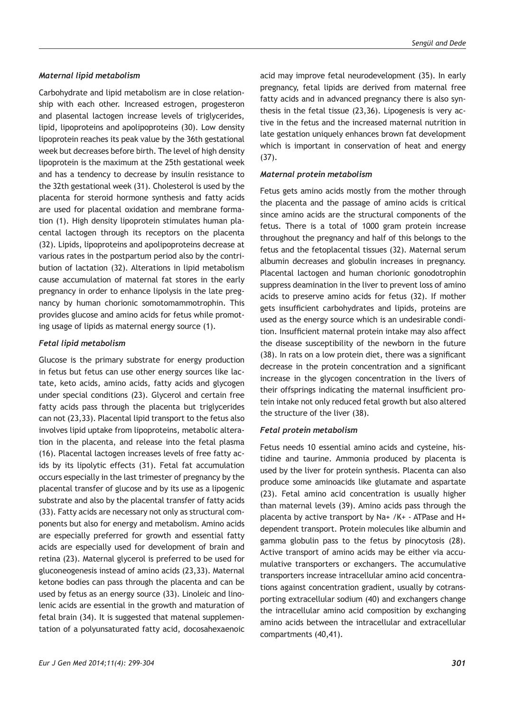# *Maternal lipid metabolism*

Carbohydrate and lipid metabolism are in close relationship with each other. Increased estrogen, progesteron and plasental lactogen increase levels of triglycerides, lipid, lipoproteins and apolipoproteins (30). Low density lipoprotein reaches its peak value by the 36th gestational week but decreases before birth. The level of high density lipoprotein is the maximum at the 25th gestational week and has a tendency to decrease by insulin resistance to the 32th gestational week (31). Cholesterol is used by the placenta for steroid hormone synthesis and fatty acids are used for placental oxidation and membrane formation (1). High density lipoprotein stimulates human placental lactogen through its receptors on the placenta (32). Lipids, lipoproteins and apolipoproteins decrease at various rates in the postpartum period also by the contribution of lactation (32). Alterations in lipid metabolism cause accumulation of maternal fat stores in the early pregnancy in order to enhance lipolysis in the late pregnancy by human chorionic somotomammotrophin. This provides glucose and amino acids for fetus while promoting usage of lipids as maternal energy source (1).

# *Fetal lipid metabolism*

Glucose is the primary substrate for energy production in fetus but fetus can use other energy sources like lactate, keto acids, amino acids, fatty acids and glycogen under special conditions (23). Glycerol and certain free fatty acids pass through the placenta but triglycerides can not (23,33). Placental lipid transport to the fetus also involves lipid uptake from lipoproteins, metabolic alteration in the placenta, and release into the fetal plasma (16). Placental lactogen increases levels of free fatty acids by its lipolytic effects (31). Fetal fat accumulation occurs especially in the last trimester of pregnancy by the placental transfer of glucose and by its use as a lipogenic substrate and also by the placental transfer of fatty acids (33). Fatty acids are necessary not only as structural components but also for energy and metabolism. Amino acids are especially preferred for growth and essential fatty acids are especially used for development of brain and retina (23). Maternal glycerol is preferred to be used for gluconeogenesis instead of amino acids (23,33). Maternal ketone bodies can pass through the placenta and can be used by fetus as an energy source (33). Linoleic and linolenic acids are essential in the growth and maturation of fetal brain (34). It is suggested that matenal supplementation of a polyunsaturated fatty acid, docosahexaenoic

acid may improve fetal neurodevelopment (35). In early pregnancy, fetal lipids are derived from maternal free fatty acids and in advanced pregnancy there is also synthesis in the fetal tissue (23,36). Lipogenesis is very active in the fetus and the increased maternal nutrition in late gestation uniquely enhances brown fat development which is important in conservation of heat and energy (37).

## *Maternal protein metabolism*

Fetus gets amino acids mostly from the mother through the placenta and the passage of amino acids is critical since amino acids are the structural components of the fetus. There is a total of 1000 gram protein increase throughout the pregnancy and half of this belongs to the fetus and the fetoplacental tissues (32). Maternal serum albumin decreases and globulin increases in pregnancy. Placental lactogen and human chorionic gonodotrophin suppress deamination in the liver to prevent loss of amino acids to preserve amino acids for fetus (32). If mother gets insufficient carbohydrates and lipids, proteins are used as the energy source which is an undesirable condition. Insufficient maternal protein intake may also affect the disease susceptibility of the newborn in the future (38). In rats on a low protein diet, there was a significant decrease in the protein concentration and a significant increase in the glycogen concentration in the livers of their offsprings indicating the maternal insufficient protein intake not only reduced fetal growth but also altered the structure of the liver (38).

# *Fetal protein metabolism*

Fetus needs 10 essential amino acids and cysteine, histidine and taurine. Ammonia produced by placenta is used by the liver for protein synthesis. Placenta can also produce some aminoacids like glutamate and aspartate (23). Fetal amino acid concentration is usually higher than maternal levels (39). Amino acids pass through the placenta by active transport by Na+ /K+ - ATPase and H+ dependent transport. Protein molecules like albumin and gamma globulin pass to the fetus by pinocytosis (28). Active transport of amino acids may be either via accumulative transporters or exchangers. The accumulative transporters increase intracellular amino acid concentrations against concentration gradient, usually by cotransporting extracellular sodium (40) and exchangers change the intracellular amino acid composition by exchanging amino acids between the intracellular and extracellular compartments (40,41).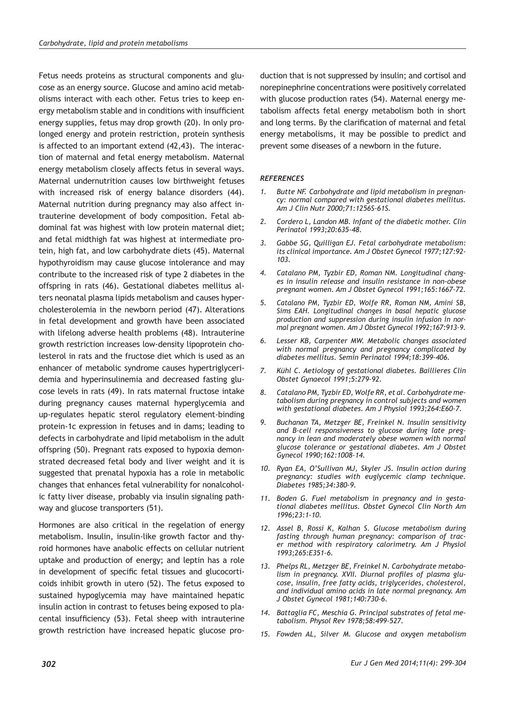Fetus needs proteins as structural components and glucose as an energy source. Glucose and amino acid metabolisms interact with each other. Fetus tries to keep energy metabolism stable and in conditions with insufficient energy supplies, fetus may drop growth (20). In only prolonged energy and protein restriction, protein synthesis is affected to an important extend (42,43). The interaction of maternal and fetal energy metabolism. Maternal energy metabolism closely affects fetus in several ways. Maternal undernutrition causes low birthweight fetuses with increased risk of energy balance disorders (44). Maternal nutrition during pregnancy may also affect intrauterine development of body composition. Fetal abdominal fat was highest with low protein maternal diet; and fetal midthigh fat was highest at intermediate protein, high fat, and low carbohydrate diets (45). Maternal hypothyroidism may cause glucose intolerance and may contribute to the increased risk of type 2 diabetes in the offspring in rats (46). Gestational diabetes mellitus alters neonatal plasma lipids metabolism and causes hypercholesterolemia in the newborn period (47). Alterations in fetal development and growth have been associated with lifelong adverse health problems (48). Intrauterine growth restriction increases low-density lipoprotein cholesterol in rats and the fructose diet which is used as an enhancer of metabolic syndrome causes hypertriglyceridemia and hyperinsulinemia and decreased fasting glucose levels in rats (49). In rats maternal fructose intake during pregnancy causes maternal hyperglycemia and up-regulates hepatic sterol regulatory element-binding protein-1c expression in fetuses and in dams; leading to defects in carbohydrate and lipid metabolism in the adult offspring (50). Pregnant rats exposed to hypoxia demonstrated decreased fetal body and liver weight and it is suggested that prenatal hypoxia has a role in metabolic changes that enhances fetal vulnerability for nonalcoholic fatty liver disease, probably via insulin signaling pathway and glucose transporters (51).

Hormones are also critical in the regelation of energy metabolism. Insulin, insulin-like growth factor and thyroid hormones have anabolic effects on cellular nutrient uptake and production of energy; and leptin has a role in development of specific fetal tissues and glucocorticoids inhibit growth in utero (52). The fetus exposed to sustained hypoglycemia may have maintained hepatic insulin action in contrast to fetuses being exposed to placental insufficiency (53). Fetal sheep with intrauterine growth restriction have increased hepatic glucose pro-

duction that is not suppressed by insulin; and cortisol and norepinephrine concentrations were positively correlated with glucose production rates (54). Maternal energy metabolism affects fetal energy metabolism both in short and long terms. By the clarification of maternal and fetal energy metabolisms, it may be possible to predict and prevent some diseases of a newborn in the future.

# *REFERENCES*

- *1. Butte NF. Carbohydrate and lipid metabolism in pregnancy: normal compared with gestational diabetes mellitus. Am J Clin Nutr 2000;71:1256S–61S.*
- *2. Cordero L, Landon MB. Infant of the diabetic mother. Clin Perinatol 1993;20:635-48.*
- *3. Gabbe SG, Quilligan EJ. Fetal carbohydrate metabolism: its clinical importance. Am J Obstet Gynecol 1977;127:92- 103.*
- *4. Catalano PM, Tyzbir ED, Roman NM. Longitudinal changes in insulin release and insulin resistance in non-obese pregnant women. Am J Obstet Gynecol 1991;165:1667–72.*
- *5. Catalano PM, Tyzbir ED, Wolfe RR, Roman NM, Amini SB, Sims EAH. Longitudinal changes in basal hepatic glucose production and suppression during insulin infusion in normal pregnant women. Am J Obstet Gynecol 1992;167:913–9.*
- *6. Lesser KB, Carpenter MW. Metabolic changes associated with normal pregnancy and pregnancy complicated by diabetes mellitus. Semin Perinatol 1994;18:399–406.*
- *7. Kühl C. Aetiology of gestational diabetes. Baillieres Clin Obstet Gynaecol 1991;5:279–92.*
- *8. Catalano PM, Tyzbir ED, Wolfe RR, et al. Carbohydrate metabolism during pregnancy in control subjects and women with gestational diabetes. Am J Physiol 1993;264:E60–7.*
- *9. Buchanan TA, Metzger BE, Freinkel N. Insulin sensitivity and B-cell responsiveness to glucose during late pregnancy in lean and moderately obese women with normal glucose tolerance or gestational diabetes. Am J Obstet Gynecol 1990;162:1008–14.*
- *10. Ryan EA, O'Sullivan MJ, Skyler JS. Insulin action during pregnancy: studies with euglycemic clamp technique. Diabetes 1985;34:380–9.*
- *11. Boden G. Fuel metabolism in pregnancy and in gestational diabetes mellitus. Obstet Gynecol Clin North Am 1996;23:1-10.*
- *12. Assel B, Rossi K, Kalhan S. Glucose metabolism during fasting through human pregnancy: comparison of tracer method with respiratory calorimetry. Am J Physiol 1993;265:E351–6.*
- *13. Phelps RL, Metzger BE, Freinkel N. Carbohydrate metabolism in pregnancy. XVII. Diurnal profiles of plasma glucose, insulin, free fatty acids, triglycerides, cholesterol, and individual amino acids in late normal pregnancy. Am J Obstet Gynecol 1981;140:730-6.*
- *14. Battaglia FC, Meschia G. Principal substrates of fetal metabolism. Physol Rev 1978;58:499-527.*
- *15. Fowden AL, Silver M. Glucose and oxygen metabolism*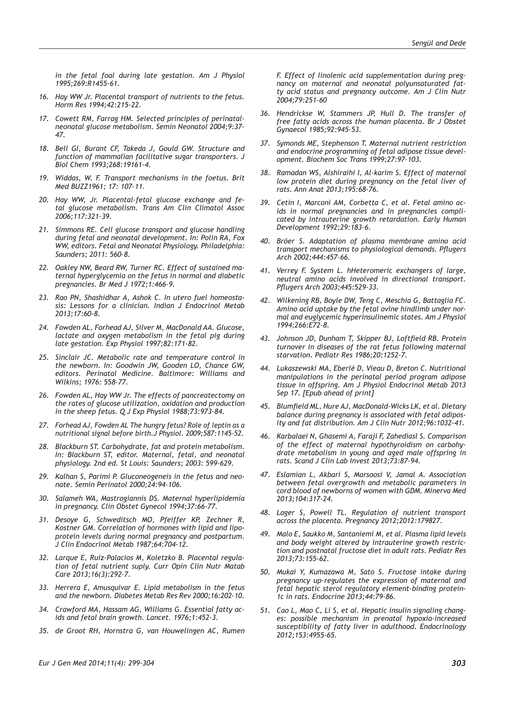*in the fetal foal during late gestation. Am J Physiol 1995;269:R1455-61.*

- *16. Hay WW Jr. Placental transport of nutrients to the fetus. Horm Res 1994;42:215-22.*
- *17. Cowett RM, Farrag HM. Selected principles of perinatalneonatal glucose metabolism. Semin Neonatol 2004;9:37– 47.*
- *18. Bell GI, Burant CF, Takeda J, Gould GW. Structure and function of mammalian facilitative sugar transporters. J Biol Chem 1993;268:19161-4.*
- *19. Widdas, W. F. Transport mechanisms in the foetus. Brit Med BUZZ1961; 17: 107-11.*
- *20. Hay WW, Jr. Placental-fetal glucose exchange and fetal glucose metabolism. Trans Am Clin Climatol Assoc 2006;117:321–39.*
- *21. Simmons RE. Cell glucose transport and glucose handling during fetal and neonatal development. In: Polin RA, Fox WW, editors. Fetal and Neonatal Physiology. Philadelphia: Saunders; 2011: 560–8.*
- *22. Oakley NW, Beard RW, Turner RC. Effect of sustained maternal hyperglycemia on the fetus in normal and diabetic pregnancies. Br Med J 1972;1:466–9.*
- *23. Rao PN, Shashidhar A, Ashok C. In utero fuel homeostasis: Lessons for a clinician. Indian J Endocrinol Metab 2013;17:60-8.*
- *24. Fowden AL, Forhead AJ, Silver M, MacDonald AA. Glucose, lactate and oxygen metabolism in the fetal pig during late gestation. Exp Physiol 1997;82:171-82.*
- *25. Sinclair JC. Metabolic rate and temperature control in the newborn. In: Goodwin JW, Gooden LO, Chance GW, editors. Perinatal Medicine. Baltimore: Williams and Wilkins; 1976: 558–77.*
- *26. Fowden AL, Hay WW Jr. The effects of pancreatectomy on the rates of glucose utilization, oxidation and production in the sheep fetus. Q J Exp Physiol 1988;73:973-84.*
- *27. Forhead AJ, Fowden AL The hungry fetus? Role of leptin as a nutritional signal before birth.J Physiol. 2009;587:1145-52.*
- *28. Blackburn ST. Carbohydrate, fat and protein metabolism. In: Blackburn ST, editor. Maternal, fetal, and neonatal physiology. 2nd ed. St Louis: Saunders; 2003: 599–629.*
- *29. Kalhan S, Parimi P. Gluconeogeneis in the fetus and neonate. Semin Perinatol 2000;24:94–106.*
- *30. Salameh WA, Mastrogiannis DS. Maternal hyperlipidemia in pregnancy. Clin Obstet Gynecol 1994;37:66-77.*
- *31. Desoye G, Schweditsch MO, Pfeiffer KP, Zechner R, Kostner GM. Correlation of hormones with lipid and lipoprotein levels during normal pregnancy and postpartum. J Clin Endocrinol Metab 1987;64:704-12.*
- *32. Larque E, Ruiz-Palacios M, Koletzko B. Placental regulation of fetal nutrient suply. Curr Opin Clin Nutr Matab Care 2013;16(3):292-7.*
- *33. Herrera E, Amusquivar E. Lipid metabolism in the fetus and the newborn. Diabetes Metab Res Rev 2000;16:202–10.*
- *34. Crawford MA, Hassam AG, Williams G. Essential fatty acids and fetal brain growth. Lancet. 1976;1:452-3.*
- *35. de Groot RH, Hornstra G, van Houwelingen AC, Rumen*

*F. Effect of linolenic acid supplementation during pregnancy on maternal and neonatal polyunsaturated fatty acid status and pregnancy outcome. Am J Clin Nutr 2004;79:251–60*

- *36. Hendrickse W, Stammers JP, Hull D. The transfer of free fatty acids across the human placenta. Br J Obstet Gynaecol 1985;92:945–53.*
- *37. Symonds ME, Stephenson T. Maternal nutrient restriction and endocrine programming of fetal adipose tissue development. Biochem Soc Trans 1999;27:97–103.*
- *38. Ramadan WS, Alshiraihi I, Al-karim S. Effect of maternal low protein diet during pregnancy on the fetal liver of rats. Ann Anat 2013;195:68-76.*
- *39. Cetin I, Marconi AM, Corbetta C, et al. Fetal amino acids in normal pregnancies and in pregnancies complicated by intrauterine growth retardation. Early Human Development 1992;29:183–6.*
- *40. Bröer S. Adaptation of plasma membrane amino acid transport mechanisms to physiological demands. Pflugers Arch 2002;444:457–66.*
- *41. Verrey F. System L. hHeteromeric exchangers of large, neutral amino acids involved in directional transport. Pflugers Arch 2003;445:529–33.*
- *42. Wilkening RB, Boyle DW, Teng C, Meschia G, Battaglia FC. Amino acid uptake by the fetal ovine hindlimb under normal and euglycemic hyperinsulinemic states. Am J Physiol 1994;266:E72–8.*
- *43. Johnson JD, Dunham T, Skipper BJ, Loftfield RB. Protein turnover in diseases of the rat fetus following maternal starvation. Pediatr Res 1986;20:1252–7.*
- *44. Lukaszewski MA, Eberlé D, Vieau D, Breton C. Nutritional manipulations in the perinatal period program adipose tissue in offspring. Am J Physiol Endocrinol Metab 2013 Sep 17. [Epub ahead of print]*
- *45. Blumfield ML, Hure AJ, MacDonald-Wicks LK, et al. Dietary balance during pregnancy is associated with fetal adiposity and fat distribution. Am J Clin Nutr 2012;96:1032-41.*
- *46. Karbalaei N, Ghasemi A, Faraji F, Zahediasl S. Comparison of the effect of maternal hypothyroidism on carbohydrate metabolism in young and aged male offspring in rats. Scand J Clin Lab Invest 2013;73:87-94.*
- *47. Eslamian L, Akbari S, Marsoosi V, Jamal A. Association between fetal overgrowth and metabolic parameters in cord blood of newborns of women with GDM. Minerva Med 2013;104:317-24.*
- *48. Lager S, Powell TL. Regulation of nutrient transport across the placenta. Pregnancy 2012;2012:179827.*
- *49. Malo E, Saukko M, Santaniemi M, et al. Plasma lipid levels and body weight altered by intrauterine growth restriction and postnatal fructose diet in adult rats. Pediatr Res 2013;73:155-62.*
- *50. Mukai Y, Kumazawa M, Sato S. Fructose intake during pregnancy up-regulates the expression of maternal and fetal hepatic sterol regulatory element-binding protein-1c in rats. Endocrine 2013;44:79-86.*
- *51. Cao L, Mao C, Li S, et al. Hepatic insulin signaling changes: possible mechanism in prenatal hypoxia-increased susceptibility of fatty liver in adulthood. Endocrinology 2012;153:4955-65.*